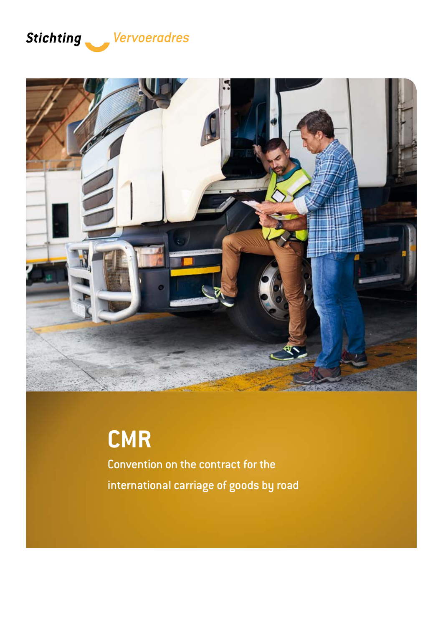### *Vervoeradres*



# **CMR**

Convention on the contract for the international carriage of goods by road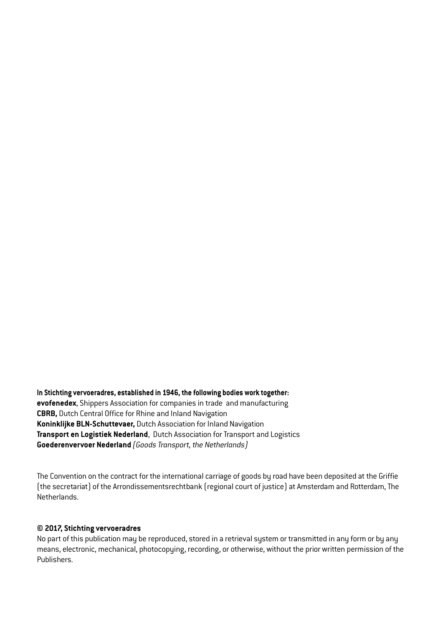**In Stichting vervoeradres, established in 1946, the following bodies work together: evofenedex**, Shippers Association for companies in trade and manufacturing **CBRB,** Dutch Central Office for Rhine and Inland Navigation **Koninklijke BLN-Schuttevaer,** Dutch Association for Inland Navigation **Transport en Logistiek Nederland**, Dutch Association for Transport and Logistics **Goederenvervoer Nederland** *(Goods Transport, the Netherlands)*

The Convention on the contract for the international carriage of goods by road have been deposited at the Griffie (the secretariat) of the Arrondissementsrechtbank (regional court of justice) at Amsterdam and Rotterdam, The Netherlands.

#### **© 2017, Stichting vervoeradres**

No part of this publication may be reproduced, stored in a retrieval system or transmitted in any form or by any means, electronic, mechanical, photocopying, recording, or otherwise, without the prior written permission of the Publishers.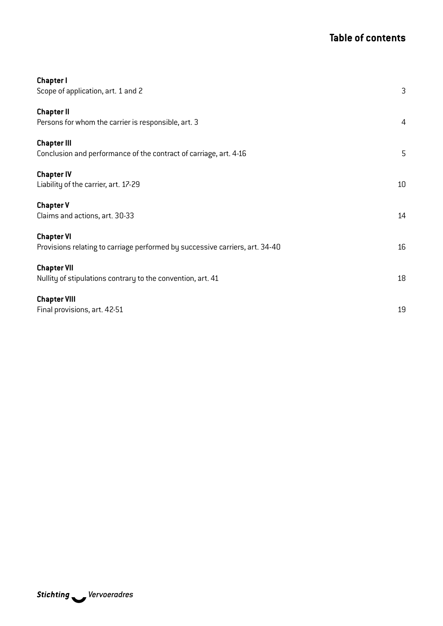| <b>Chapter I</b>                                                             |    |
|------------------------------------------------------------------------------|----|
| Scope of application, art. 1 and 2                                           | 3  |
| <b>Chapter II</b>                                                            |    |
| Persons for whom the carrier is responsible, art. 3                          | 4  |
| <b>Chapter III</b>                                                           |    |
| Conclusion and performance of the contract of carriage, art. 4-16            | 5  |
| <b>Chapter IV</b>                                                            |    |
| Liability of the carrier, art. 17-29                                         | 10 |
| <b>Chapter V</b>                                                             |    |
| Claims and actions, art. 30-33                                               | 14 |
| <b>Chapter VI</b>                                                            |    |
| Provisions relating to carriage performed by successive carriers, art. 34-40 | 16 |
| <b>Chapter VII</b>                                                           |    |
| Nullity of stipulations contrary to the convention, art. 41                  | 18 |
| <b>Chapter VIII</b>                                                          |    |
| Final provisions, art. 42-51                                                 | 19 |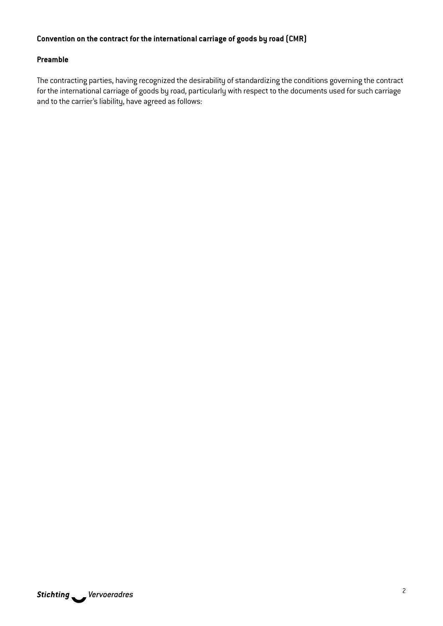#### **Convention on the contract for the international carriage of goods by road (CMR)**

#### **Preamble**

The contracting parties, having recognized the desirability of standardizing the conditions governing the contract for the international carriage of goods by road, particularly with respect to the documents used for such carriage and to the carrier's liability, have agreed as follows:

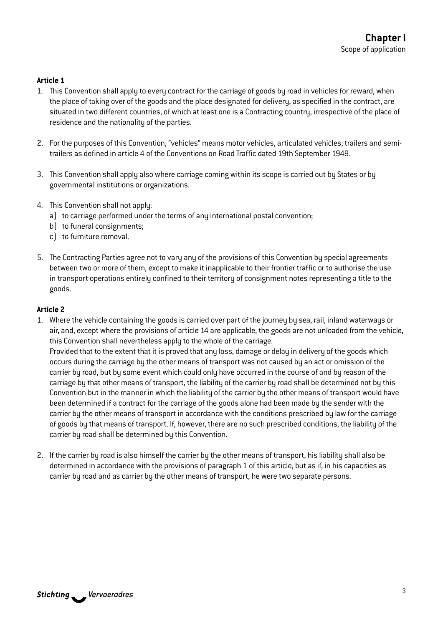- <span id="page-4-0"></span>1. This Convention shall apply to every contract for the carriage of goods by road in vehicles for reward, when the place of taking over of the goods and the place designated for delivery, as specified in the contract, are situated in two different countries, of which at least one is a Contracting country, irrespective of the place of residence and the nationality of the parties.
- 2. For the purposes of this Convention, "vehicles" means motor vehicles, articulated vehicles, trailers and semitrailers as defined in article 4 of the Conventions on Road Traffic dated 19th September 1949.
- 3. This Convention shall apply also where carriage coming within its scope is carried out by States or by governmental institutions or organizations.
- 4. This Convention shall not apply:
	- a) to carriage performed under the terms of any international postal convention;
	- b) to funeral consignments;
	- c) to furniture removal.
- 5. The Contracting Parties agree not to vary any of the provisions of this Convention by special agreements between two or more of them, except to make it inapplicable to their frontier traffic or to authorise the use in transport operations entirely confined to their territory of consignment notes representing a title to the goods.

- 1. Where the vehicle containing the goods is carried over part of the journey by sea, rail, inland waterways or air, and, except where the provisions of article 14 are applicable, the goods are not unloaded from the vehicle, this Convention shall nevertheless apply to the whole of the carriage. Provided that to the extent that it is proved that any loss, damage or delay in delivery of the goods which occurs during the carriage by the other means of transport was not caused by an act or omission of the carrier by road, but by some event which could only have occurred in the course of and by reason of the carriage by that other means of transport, the liability of the carrier by road shall be determined not by this Convention but in the manner in which the liability of the carrier by the other means of transport would have been determined if a contract for the carriage of the goods alone had been made by the sender with the carrier by the other means of transport in accordance with the conditions prescribed by law for the carriage of goods by that means of transport. If, however, there are no such prescribed conditions, the liability of the carrier by road shall be determined by this Convention.
- 2. If the carrier by road is also himself the carrier by the other means of transport, his liability shall also be determined in accordance with the provisions of paragraph 1 of this article, but as if, in his capacities as carrier by road and as carrier by the other means of transport, he were two separate persons.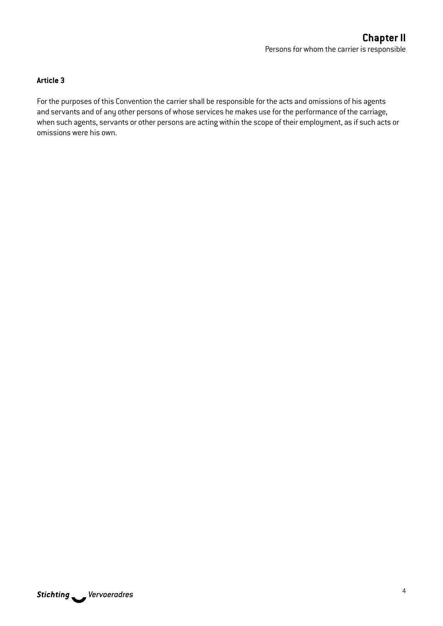<span id="page-5-0"></span>For the purposes of this Convention the carrier shall be responsible for the acts and omissions of his agents and servants and of any other persons of whose services he makes use for the performance of the carriage, when such agents, servants or other persons are acting within the scope of their employment, as if such acts or omissions were his own.

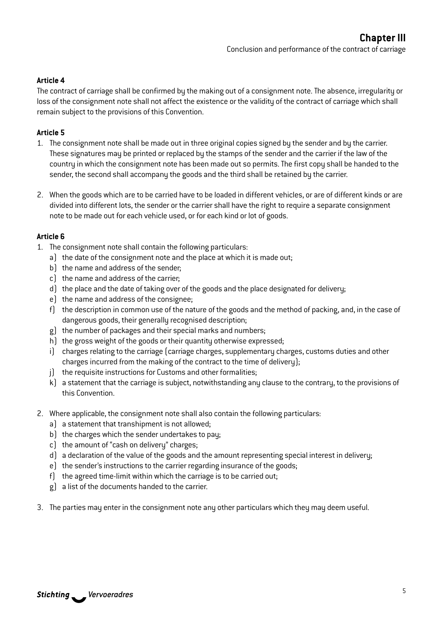<span id="page-6-0"></span>The contract of carriage shall be confirmed by the making out of a consignment note. The absence, irregularity or loss of the consignment note shall not affect the existence or the validity of the contract of carriage which shall remain subject to the provisions of this Convention.

#### **Article 5**

- 1. The consignment note shall be made out in three original copies signed by the sender and by the carrier. These signatures may be printed or replaced by the stamps of the sender and the carrier if the law of the country in which the consignment note has been made out so permits. The first copy shall be handed to the sender, the second shall accompany the goods and the third shall be retained by the carrier.
- 2. When the goods which are to be carried have to be loaded in different vehicles, or are of different kinds or are divided into different lots, the sender or the carrier shall have the right to require a separate consignment note to be made out for each vehicle used, or for each kind or lot of goods.

- 1. The consignment note shall contain the following particulars:
	- a) the date of the consignment note and the place at which it is made out;
	- b) the name and address of the sender;
	- c) the name and address of the carrier;
	- d) the place and the date of taking over of the goods and the place designated for delivery;
	- e) the name and address of the consignee;
	- f) the description in common use of the nature of the goods and the method of packing, and, in the case of dangerous goods, their generally recognised description;
	- g) the number of packages and their special marks and numbers;
	- h) the gross weight of the goods or their quantity otherwise expressed;
	- i) charges relating to the carriage (carriage charges, supplementary charges, customs duties and other charges incurred from the making of the contract to the time of delivery);
	- j) the requisite instructions for Customs and other formalities;
	- k) a statement that the carriage is subject, notwithstanding any clause to the contrary, to the provisions of this Convention.
- 2. Where applicable, the consignment note shall also contain the following particulars:
	- a) a statement that transhipment is not allowed;
	- b) the charges which the sender undertakes to pay;
	- c) the amount of "cash on delivery" charges;
	- d) a declaration of the value of the goods and the amount representing special interest in delivery;
	- e) the sender's instructions to the carrier regarding insurance of the goods;
	- f) the agreed time-limit within which the carriage is to be carried out;
	- g) a list of the documents handed to the carrier.
- 3. The parties may enter in the consignment note any other particulars which they may deem useful.

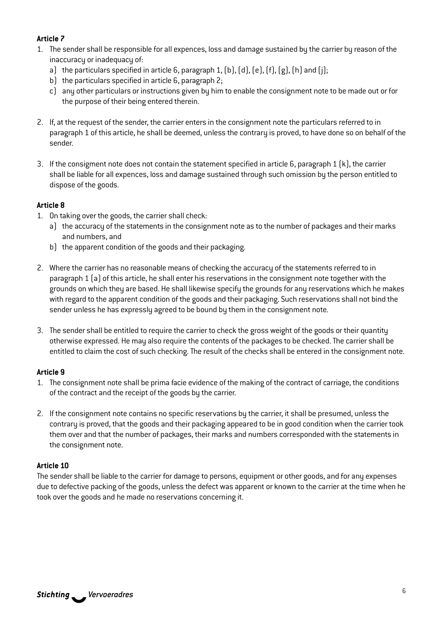- 1. The sender shall be responsible for all expences, loss and damage sustained by the carrier by reason of the inaccuracy or inadequacy of:
	- a) the particulars specified in article 6, paragraph 1,  $[b]$ ,  $[d]$ ,  $[e]$ ,  $[f]$ ,  $[g]$ ,  $[h]$  and  $[j]$ ;
	- b) the particulars specified in article 6, paragraph 2;
	- c) any other particulars or instructions given by him to enable the consignment note to be made out or for the purpose of their being entered therein.
- 2. If, at the request of the sender, the carrier enters in the consignment note the particulars referred to in paragraph 1 of this article, he shall be deemed, unless the contrary is proved, to have done so on behalf of the sender.
- 3. If the consigment note does not contain the statement specified in article 6, paragraph 1 (k), the carrier shall be liable for all expences, loss and damage sustained through such omission by the person entitled to dispose of the goods.

#### **Article 8**

- 1. On taking over the goods, the carrier shall check:
	- a) the accuracy of the statements in the consignment note as to the number of packages and their marks and numbers, and
	- b) the apparent condition of the goods and their packaging.
- 2. Where the carrier has no reasonable means of checking the accuracy of the statements referred to in paragraph 1 (a) of this article, he shall enter his reservations in the consignment note together with the grounds on which they are based. He shall likewise specify the grounds for any reservations which he makes with regard to the apparent condition of the goods and their packaging. Such reservations shall not bind the sender unless he has expressly agreed to be bound by them in the consignment note.
- 3. The sender shall be entitled to require the carrier to check the gross weight of the goods or their quantity otherwise expressed. He may also require the contents of the packages to be checked. The carrier shall be entitled to claim the cost of such checking. The result of the checks shall be entered in the consignment note.

#### **Article 9**

- 1. The consignment note shall be prima facie evidence of the making of the contract of carriage, the conditions of the contract and the receipt of the goods by the carrier.
- 2. If the consignment note contains no specific reservations by the carrier, it shall be presumed, unless the contrary is proved, that the goods and their packaging appeared to be in good condition when the carrier took them over and that the number of packages, their marks and numbers corresponded with the statements in the consignment note.

#### **Article 10**

The sender shall be liable to the carrier for damage to persons, equipment or other goods, and for any expenses due to defective packing of the goods, unless the defect was apparent or known to the carrier at the time when he took over the goods and he made no reservations concerning it.

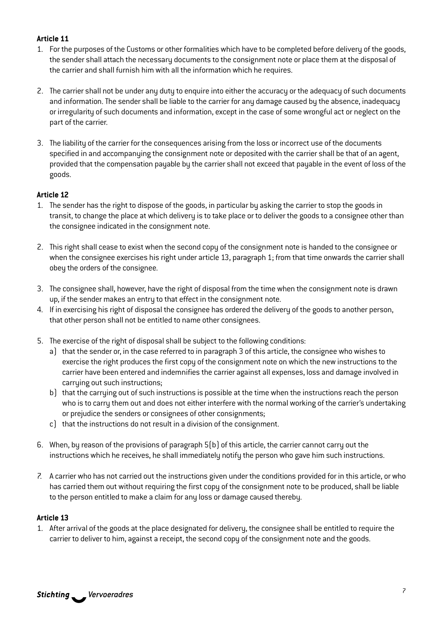- 1. For the purposes of the Customs or other formalities which have to be completed before delivery of the goods, the sender shall attach the necessary documents to the consignment note or place them at the disposal of the carrier and shall furnish him with all the information which he requires.
- 2. The carrier shall not be under any duty to enquire into either the accuracy or the adequacy of such documents and information. The sender shall be liable to the carrier for any damage caused by the absence, inadequacy or irregularity of such documents and information, except in the case of some wrongful act or neglect on the part of the carrier.
- 3. The liability of the carrier for the consequences arising from the loss or incorrect use of the documents specified in and accompanying the consignment note or deposited with the carrier shall be that of an agent, provided that the compensation payable by the carrier shall not exceed that payable in the event of loss of the goods.

#### **Article 12**

- 1. The sender has the right to dispose of the goods, in particular by asking the carrier to stop the goods in transit, to change the place at which delivery is to take place or to deliver the goods to a consignee other than the consignee indicated in the consignment note.
- 2. This right shall cease to exist when the second copy of the consignment note is handed to the consignee or when the consignee exercises his right under article 13, paragraph 1; from that time onwards the carrier shall obey the orders of the consignee.
- 3. The consignee shall, however, have the right of disposal from the time when the consignment note is drawn up, if the sender makes an entry to that effect in the consignment note.
- 4. If in exercising his right of disposal the consignee has ordered the delivery of the goods to another person, that other person shall not be entitled to name other consignees.
- 5. The exercise of the right of disposal shall be subject to the following conditions:
	- a) that the sender or, in the case referred to in paragraph 3 of this article, the consignee who wishes to exercise the right produces the first copy of the consignment note on which the new instructions to the carrier have been entered and indemnifies the carrier against all expenses, loss and damage involved in carrying out such instructions;
	- b) that the carrying out of such instructions is possible at the time when the instructions reach the person who is to carry them out and does not either interfere with the normal working of the carrier's undertaking or prejudice the senders or consignees of other consignments;
	- c) that the instructions do not result in a division of the consignment.
- 6. When, by reason of the provisions of paragraph 5(b) of this article, the carrier cannot carry out the instructions which he receives, he shall immediately notify the person who gave him such instructions.
- 7. A carrier who has not carried out the instructions given under the conditions provided for in this article, or who has carried them out without requiring the first copy of the consignment note to be produced, shall be liable to the person entitled to make a claim for any loss or damage caused thereby.

#### **Article 13**

1. After arrival of the goods at the place designated for delivery, the consignee shall be entitled to require the carrier to deliver to him, against a receipt, the second copy of the consignment note and the goods.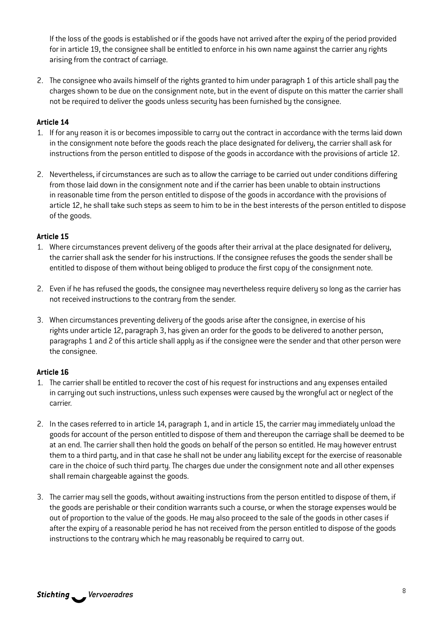If the loss of the goods is established or if the goods have not arrived after the expiry of the period provided for in article 19, the consignee shall be entitled to enforce in his own name against the carrier any rights arising from the contract of carriage.

2. The consignee who avails himself of the rights granted to him under paragraph 1 of this article shall pay the charges shown to be due on the consignment note, but in the event of dispute on this matter the carrier shall not be required to deliver the goods unless security has been furnished by the consignee.

#### **Article 14**

- 1. If for any reason it is or becomes impossible to carry out the contract in accordance with the terms laid down in the consignment note before the goods reach the place designated for delivery, the carrier shall ask for instructions from the person entitled to dispose of the goods in accordance with the provisions of article 12.
- 2. Nevertheless, if circumstances are such as to allow the carriage to be carried out under conditions differing from those laid down in the consignment note and if the carrier has been unable to obtain instructions in reasonable time from the person entitled to dispose of the goods in accordance with the provisions of article 12, he shall take such steps as seem to him to be in the best interests of the person entitled to dispose of the goods.

#### **Article 15**

- 1. Where circumstances prevent delivery of the goods after their arrival at the place designated for delivery, the carrier shall ask the sender for his instructions. If the consignee refuses the goods the sender shall be entitled to dispose of them without being obliged to produce the first copy of the consignment note.
- 2. Even if he has refused the goods, the consignee may nevertheless require delivery so long as the carrier has not received instructions to the contrary from the sender.
- 3. When circumstances preventing delivery of the goods arise after the consignee, in exercise of his rights under article 12, paragraph 3, has given an order for the goods to be delivered to another person, paragraphs 1 and 2 of this article shall apply as if the consignee were the sender and that other person were the consignee.

- 1. The carrier shall be entitled to recover the cost of his request for instructions and any expenses entailed in carrying out such instructions, unless such expenses were caused by the wrongful act or neglect of the carrier.
- 2. In the cases referred to in article 14, paragraph 1, and in article 15, the carrier may immediately unload the goods for account of the person entitled to dispose of them and thereupon the carriage shall be deemed to be at an end. The carrier shall then hold the goods on behalf of the person so entitled. He may however entrust them to a third party, and in that case he shall not be under any liability except for the exercise of reasonable care in the choice of such third party. The charges due under the consignment note and all other expenses shall remain chargeable against the goods.
- 3. The carrier may sell the goods, without awaiting instructions from the person entitled to dispose of them, if the goods are perishable or their condition warrants such a course, or when the storage expenses would be out of proportion to the value of the goods. He may also proceed to the sale of the goods in other cases if after the expiry of a reasonable period he has not received from the person entitled to dispose of the goods instructions to the contrary which he may reasonably be required to carry out.

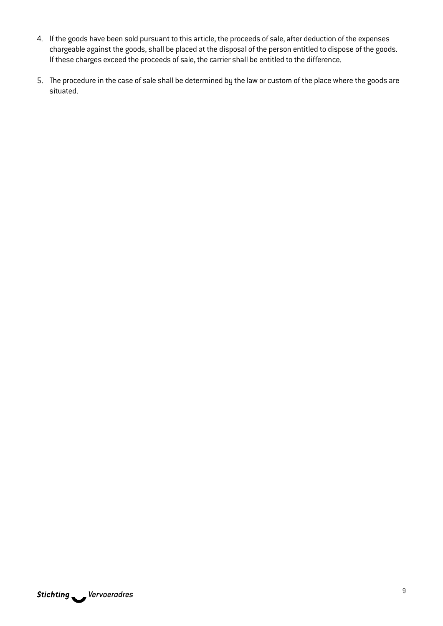- 4. If the goods have been sold pursuant to this article, the proceeds of sale, after deduction of the expenses chargeable against the goods, shall be placed at the disposal of the person entitled to dispose of the goods. If these charges exceed the proceeds of sale, the carrier shall be entitled to the difference.
- 5. The procedure in the case of sale shall be determined by the law or custom of the place where the goods are situated.

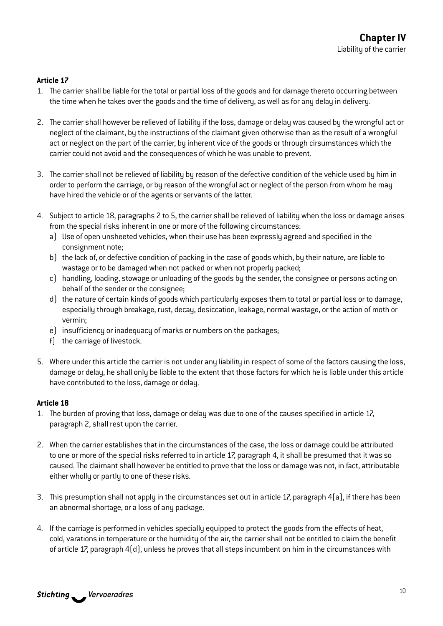- <span id="page-11-0"></span>1. The carrier shall be liable for the total or partial loss of the goods and for damage thereto occurring between the time when he takes over the goods and the time of delivery, as well as for any delay in delivery.
- 2. The carrier shall however be relieved of liability if the loss, damage or delay was caused by the wrongful act or neglect of the claimant, by the instructions of the claimant given otherwise than as the result of a wrongful act or neglect on the part of the carrier, by inherent vice of the goods or through cirsumstances which the carrier could not avoid and the consequences of which he was unable to prevent.
- 3. The carrier shall not be relieved of liability by reason of the defective condition of the vehicle used by him in order to perform the carriage, or by reason of the wrongful act or neglect of the person from whom he may have hired the vehicle or of the agents or servants of the latter.
- 4. Subject to article 18, paragraphs 2 to 5, the carrier shall be relieved of liability when the loss or damage arises from the special risks inherent in one or more of the following circumstances:
	- a) Use of open unsheeted vehicles, when their use has been expressly agreed and specified in the consignment note;
	- b) the lack of, or defective condition of packing in the case of goods which, by their nature, are liable to wastage or to be damaged when not packed or when not properly packed;
	- c) handling, loading, stowage or unloading of the goods by the sender, the consignee or persons acting on behalf of the sender or the consignee;
	- d) the nature of certain kinds of goods which particularly exposes them to total or partial loss or to damage, especially through breakage, rust, decay, desiccation, leakage, normal wastage, or the action of moth or vermin;
	- e) insufficiency or inadequacy of marks or numbers on the packages;
	- f) the carriage of livestock.
- 5. Where under this article the carrier is not under any liability in respect of some of the factors causing the loss, damage or delay, he shall only be liable to the extent that those factors for which he is liable under this article have contributed to the loss, damage or delay.

- 1. The burden of proving that loss, damage or delay was due to one of the causes specified in article 17, paragraph 2, shall rest upon the carrier.
- 2. When the carrier establishes that in the circumstances of the case, the loss or damage could be attributed to one or more of the special risks referred to in article 17, paragraph 4, it shall be presumed that it was so caused. The claimant shall however be entitled to prove that the loss or damage was not, in fact, attributable either wholly or partly to one of these risks.
- 3. This presumption shall not apply in the circumstances set out in article 17, paragraph 4(a), if there has been an abnormal shortage, or a loss of any package.
- 4. If the carriage is performed in vehicles specially equipped to protect the goods from the effects of heat, cold, varations in temperature or the humidity of the air, the carrier shall not be entitled to claim the benefit of article 17, paragraph 4(d), unless he proves that all steps incumbent on him in the circumstances with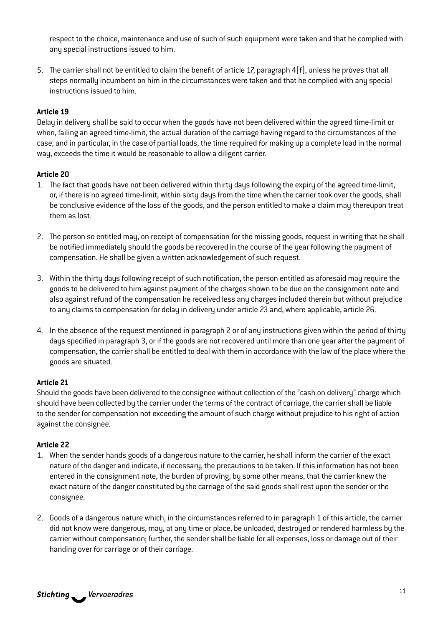respect to the choice, maintenance and use of such of such equipment were taken and that he complied with any special instructions issued to him.

5. The carrier shall not be entitled to claim the benefit of article 17, paragraph 4(f), unless he proves that all steps normally incumbent on him in the circumstances were taken and that he complied with any special instructions issued to him.

#### **Article 19**

Delay in delivery shall be said to occur when the goods have not been delivered within the agreed time-limit or when, failing an agreed time-limit, the actual duration of the carriage having regard to the circumstances of the case, and in particular, in the case of partial loads, the time required for making up a complete load in the normal way, exceeds the time it would be reasonable to allow a diligent carrier.

#### **Article 20**

- 1. The fact that goods have not been delivered within thirty days following the expiry of the agreed time-limit, or, if there is no agreed time-limit, within sixty days from the time when the carrier took over the goods, shall be conclusive evidence of the loss of the goods, and the person entitled to make a claim may thereupon treat them as lost.
- 2. The person so entitled may, on receipt of compensation for the missing goods, request in writing that he shall be notified immediately should the goods be recovered in the course of the year following the payment of compensation. He shall be given a written acknowledgement of such request.
- 3. Within the thirty days following receipt of such notification, the person entitled as aforesaid may require the goods to be delivered to him against payment of the charges shown to be due on the consignment note and also against refund of the compensation he received less any charges included therein but without prejudice to any claims to compensation for delay in delivery under article 23 and, where applicable, article 26.
- 4. In the absence of the request mentioned in paragraph 2 or of any instructions given within the period of thirty days specified in paragraph 3, or if the goods are not recovered until more than one year after the payment of compensation, the carrier shall be entitled to deal with them in accordance with the law of the place where the goods are situated.

#### **Article 21**

Should the goods have been delivered to the consignee without collection of the "cash on delivery" charge which should have been collected by the carrier under the terms of the contract of carriage, the carrier shall be liable to the sender for compensation not exceeding the amount of such charge without prejudice to his right of action against the consignee.

- 1. When the sender hands goods of a dangerous nature to the carrier, he shall inform the carrier of the exact nature of the danger and indicate, if necessary, the precautions to be taken. If this information has not been entered in the consignment note, the burden of proving, by some other means, that the carrier knew the exact nature of the danger constituted by the carriage of the said goods shall rest upon the sender or the consignee.
- 2. Goods of a dangerous nature which, in the circumstances referred to in paragraph 1 of this article, the carrier did not know were dangerous, may, at any time or place, be unloaded, destroyed or rendered harmless by the carrier without compensation; further, the sender shall be liable for all expenses, loss or damage out of their handing over for carriage or of their carriage.

![](_page_12_Picture_14.jpeg)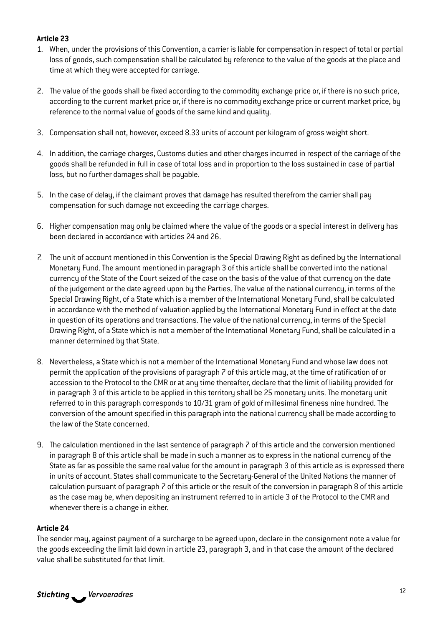- 1. When, under the provisions of this Convention, a carrier is liable for compensation in respect of total or partial loss of goods, such compensation shall be calculated by reference to the value of the goods at the place and time at which they were accepted for carriage.
- 2. The value of the goods shall be fixed according to the commodity exchange price or, if there is no such price, according to the current market price or, if there is no commodity exchange price or current market price, by reference to the normal value of goods of the same kind and quality.
- 3. Compensation shall not, however, exceed 8.33 units of account per kilogram of gross weight short.
- 4. In addition, the carriage charges, Customs duties and other charges incurred in respect of the carriage of the goods shall be refunded in full in case of total loss and in proportion to the loss sustained in case of partial loss, but no further damages shall be payable.
- 5. In the case of delay, if the claimant proves that damage has resulted therefrom the carrier shall pay compensation for such damage not exceeding the carriage charges.
- 6. Higher compensation may only be claimed where the value of the goods or a special interest in delivery has been declared in accordance with articles 24 and 26.
- 7. The unit of account mentioned in this Convention is the Special Drawing Right as defined by the International Monetary Fund. The amount mentioned in paragraph 3 of this article shall be converted into the national currency of the State of the Court seized of the case on the basis of the value of that currency on the date of the judgement or the date agreed upon by the Parties. The value of the national currency, in terms of the Special Drawing Right, of a State which is a member of the International Monetary Fund, shall be calculated in accordance with the method of valuation applied by the International Monetary Fund in effect at the date in question of its operations and transactions. The value of the national currency, in terms of the Special Drawing Right, of a State which is not a member of the International Monetary Fund, shall be calculated in a manner determined by that State.
- 8. Nevertheless, a State which is not a member of the International Monetary Fund and whose law does not permit the application of the provisions of paragraph 7 of this article may, at the time of ratification of or accession to the Protocol to the CMR or at any time thereafter, declare that the limit of liability provided for in paragraph 3 of this article to be applied in this territory shall be 25 monetary units. The monetary unit referred to in this paragraph corresponds to 10/31 gram of gold of millesimal fineness nine hundred. The conversion of the amount specified in this paragraph into the national currency shall be made according to the law of the State concerned.
- 9. The calculation mentioned in the last sentence of paragraph 7 of this article and the conversion mentioned in paragraph 8 of this article shall be made in such a manner as to express in the national currency of the State as far as possible the same real value for the amount in paragraph 3 of this article as is expressed there in units of account. States shall communicate to the Secretary-General of the United Nations the manner of calculation pursuant of paragraph 7 of this article or the result of the conversion in paragraph 8 of this article as the case may be, when depositing an instrument referred to in article 3 of the Protocol to the CMR and whenever there is a change in either.

#### **Article 24**

The sender may, against payment of a surcharge to be agreed upon, declare in the consignment note a value for the goods exceeding the limit laid down in article 23, paragraph 3, and in that case the amount of the declared value shall be substituted for that limit.

![](_page_13_Picture_12.jpeg)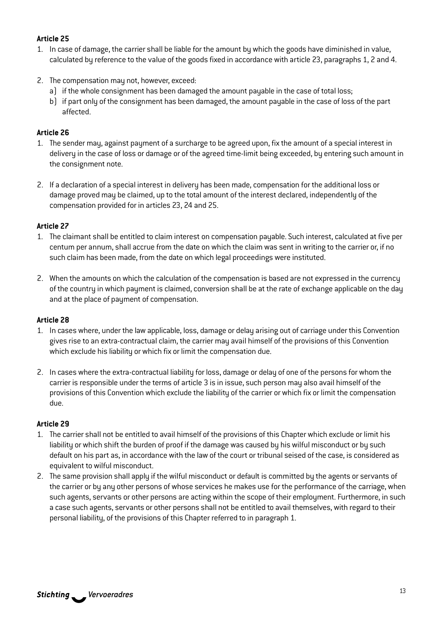- 1. In case of damage, the carrier shall be liable for the amount by which the goods have diminished in value, calculated by reference to the value of the goods fixed in accordance with article 23, paragraphs 1, 2 and 4.
- 2. The compensation may not, however, exceed:
	- a) if the whole consignment has been damaged the amount payable in the case of total loss;
	- b) if part only of the consignment has been damaged, the amount payable in the case of loss of the part affected.

#### **Article 26**

- 1. The sender may, against payment of a surcharge to be agreed upon, fix the amount of a special interest in delivery in the case of loss or damage or of the agreed time-limit being exceeded, by entering such amount in the consignment note.
- 2. If a declaration of a special interest in delivery has been made, compensation for the additional loss or damage proved may be claimed, up to the total amount of the interest declared, independently of the compensation provided for in articles 23, 24 and 25.

#### **Article 27**

- 1. The claimant shall be entitled to claim interest on compensation payable. Such interest, calculated at five per centum per annum, shall accrue from the date on which the claim was sent in writing to the carrier or, if no such claim has been made, from the date on which legal proceedings were instituted.
- 2. When the amounts on which the calculation of the compensation is based are not expressed in the currency of the country in which payment is claimed, conversion shall be at the rate of exchange applicable on the day and at the place of payment of compensation.

#### **Article 28**

- 1. In cases where, under the law applicable, loss, damage or delay arising out of carriage under this Convention gives rise to an extra-contractual claim, the carrier may avail himself of the provisions of this Convention which exclude his liability or which fix or limit the compensation due.
- 2. In cases where the extra-contractual liability for loss, damage or delay of one of the persons for whom the carrier is responsible under the terms of article 3 is in issue, such person may also avail himself of the provisions of this Convention which exclude the liability of the carrier or which fix or limit the compensation due.

- 1. The carrier shall not be entitled to avail himself of the provisions of this Chapter which exclude or limit his liability or which shift the burden of proof if the damage was caused by his wilful misconduct or by such default on his part as, in accordance with the law of the court or tribunal seised of the case, is considered as equivalent to wilful misconduct.
- 2. The same provision shall apply if the wilful misconduct or default is committed by the agents or servants of the carrier or by any other persons of whose services he makes use for the performance of the carriage, when such agents, servants or other persons are acting within the scope of their employment. Furthermore, in such a case such agents, servants or other persons shall not be entitled to avail themselves, with regard to their personal liability, of the provisions of this Chapter referred to in paragraph 1.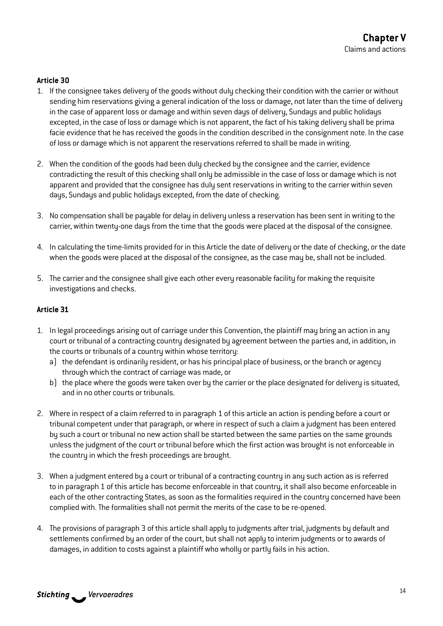- <span id="page-15-0"></span>1. If the consignee takes delivery of the goods without duly checking their condition with the carrier or without sending him reservations giving a general indication of the loss or damage, not later than the time of delivery in the case of apparent loss or damage and within seven days of delivery, Sundays and public holidays excepted, in the case of loss or damage which is not apparent, the fact of his taking delivery shall be prima facie evidence that he has received the goods in the condition described in the consignment note. In the case of loss or damage which is not apparent the reservations referred to shall be made in writing.
- 2. When the condition of the goods had been duly checked by the consignee and the carrier, evidence contradicting the result of this checking shall only be admissible in the case of loss or damage which is not apparent and provided that the consignee has duly sent reservations in writing to the carrier within seven days, Sundays and public holidays excepted, from the date of checking.
- 3. No compensation shall be payable for delay in delivery unless a reservation has been sent in writing to the carrier, within twenty-one days from the time that the goods were placed at the disposal of the consignee.
- 4. In calculating the time-limits provided for in this Article the date of delivery or the date of checking, or the date when the goods were placed at the disposal of the consignee, as the case may be, shall not be included.
- 5. The carrier and the consignee shall give each other every reasonable facility for making the requisite investigations and checks.

- 1. In legal proceedings arising out of carriage under this Convention, the plaintiff may bring an action in any court or tribunal of a contracting country designated by agreement between the parties and, in addition, in the courts or tribunals of a country within whose territory:
	- a) the defendant is ordinarily resident, or has his principal place of business, or the branch or agency through which the contract of carriage was made, or
	- b) the place where the goods were taken over by the carrier or the place designated for delivery is situated, and in no other courts or tribunals.
- 2. Where in respect of a claim referred to in paragraph 1 of this article an action is pending before a court or tribunal competent under that paragraph, or where in respect of such a claim a judgment has been entered by such a court or tribunal no new action shall be started between the same parties on the same grounds unless the judgment of the court or tribunal before which the first action was brought is not enforceable in the country in which the fresh proceedings are brought.
- 3. When a judgment entered by a court or tribunal of a contracting country in any such action as is referred to in paragraph 1 of this article has become enforceable in that country, it shall also become enforceable in each of the other contracting States, as soon as the formalities required in the country concerned have been complied with. The formalities shall not permit the merits of the case to be re-opened.
- 4. The provisions of paragraph 3 of this article shall apply to judgments after trial, judgments by default and settlements confirmed by an order of the court, but shall not apply to interim judgments or to awards of damages, in addition to costs against a plaintiff who wholly or partly fails in his action.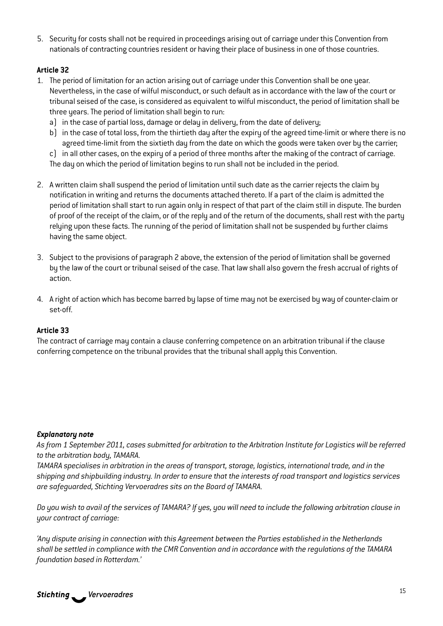5. Security for costs shall not be required in proceedings arising out of carriage under this Convention from nationals of contracting countries resident or having their place of business in one of those countries.

#### **Article 32**

- 1. The period of limitation for an action arising out of carriage under this Convention shall be one year. Nevertheless, in the case of wilful misconduct, or such default as in accordance with the law of the court or tribunal seised of the case, is considered as equivalent to wilful misconduct, the period of limitation shall be three years. The period of limitation shall begin to run:
	- a) in the case of partial loss, damage or delay in delivery, from the date of delivery;
	- b) in the case of total loss, from the thirtieth day after the expiry of the agreed time-limit or where there is no agreed time-limit from the sixtieth day from the date on which the goods were taken over by the carrier;

c) in all other cases, on the expiry of a period of three months after the making of the contract of carriage. The day on which the period of limitation begins to run shall not be included in the period.

- 2. A written claim shall suspend the period of limitation until such date as the carrier rejects the claim by notification in writing and returns the documents attached thereto. If a part of the claim is admitted the period of limitation shall start to run again only in respect of that part of the claim still in dispute. The burden of proof of the receipt of the claim, or of the reply and of the return of the documents, shall rest with the party relying upon these facts. The running of the period of limitation shall not be suspended by further claims having the same object.
- 3. Subject to the provisions of paragraph 2 above, the extension of the period of limitation shall be governed by the law of the court or tribunal seised of the case. That law shall also govern the fresh accrual of rights of action.
- 4. A right of action which has become barred by lapse of time may not be exercised by way of counter-claim or set-off.

#### **Article 33**

The contract of carriage may contain a clause conferring competence on an arbitration tribunal if the clause conferring competence on the tribunal provides that the tribunal shall apply this Convention.

#### *Explanatory note*

*As from 1 September 2011, cases submitted for arbitration to the Arbitration Institute for Logistics will be referred to the arbitration body, TAMARA.*

*TAMARA specialises in arbitration in the areas of transport, storage, logistics, international trade, and in the shipping and shipbuilding industry. In order to ensure that the interests of road transport and logistics services are safeguarded, Stichting Vervoeradres sits on the Board of TAMARA.*

*Do you wish to avail of the services of TAMARA? If yes, you will need to include the following arbitration clause in your contract of carriage:*

*'Any dispute arising in connection with this Agreement between the Parties established in the Netherlands shall be settled in compliance with the CMR Convention and in accordance with the regulations of the TAMARA foundation based in Rotterdam.'*

![](_page_16_Picture_16.jpeg)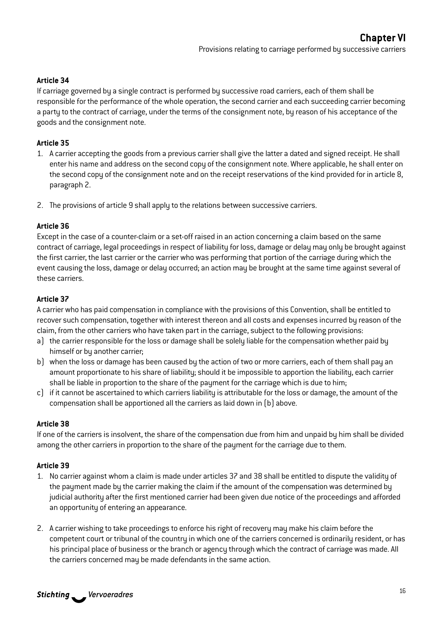<span id="page-17-0"></span>If carriage governed by a single contract is performed by successive road carriers, each of them shall be responsible for the performance of the whole operation, the second carrier and each succeeding carrier becoming a party to the contract of carriage, under the terms of the consignment note, by reason of his acceptance of the goods and the consignment note.

#### **Article 35**

- 1. A carrier accepting the goods from a previous carrier shall give the latter a dated and signed receipt. He shall enter his name and address on the second copy of the consignment note. Where applicable, he shall enter on the second copy of the consignment note and on the receipt reservations of the kind provided for in article 8, paragraph 2.
- 2. The provisions of article 9 shall apply to the relations between successive carriers.

#### **Article 36**

Except in the case of a counter-claim or a set-off raised in an action concerning a claim based on the same contract of carriage, legal proceedings in respect of liability for loss, damage or delay may only be brought against the first carrier, the last carrier or the carrier who was performing that portion of the carriage during which the event causing the loss, damage or delay occurred; an action may be brought at the same time against several of these carriers.

#### **Article 37**

A carrier who has paid compensation in compliance with the provisions of this Convention, shall be entitled to recover such compensation, together with interest thereon and all costs and expenses incurred by reason of the claim, from the other carriers who have taken part in the carriage, subject to the following provisions:

- a) the carrier responsible for the loss or damage shall be solely liable for the compensation whether paid by himself or by another carrier;
- b) when the loss or damage has been caused by the action of two or more carriers, each of them shall pay an amount proportionate to his share of liability; should it be impossible to apportion the liability, each carrier shall be liable in proportion to the share of the payment for the carriage which is due to him;
- c) if it cannot be ascertained to which carriers liability is attributable for the loss or damage, the amount of the compensation shall be apportioned all the carriers as laid down in (b) above.

#### **Article 38**

If one of the carriers is insolvent, the share of the compensation due from him and unpaid by him shall be divided among the other carriers in proportion to the share of the payment for the carriage due to them.

- 1. No carrier against whom a claim is made under articles 37 and 38 shall be entitled to dispute the validity of the payment made by the carrier making the claim if the amount of the compensation was determined by judicial authority after the first mentioned carrier had been given due notice of the proceedings and afforded an opportunity of entering an appearance.
- 2. A carrier wishing to take proceedings to enforce his right of recovery may make his claim before the competent court or tribunal of the country in which one of the carriers concerned is ordinarily resident, or has his principal place of business or the branch or agency through which the contract of carriage was made. All the carriers concerned may be made defendants in the same action.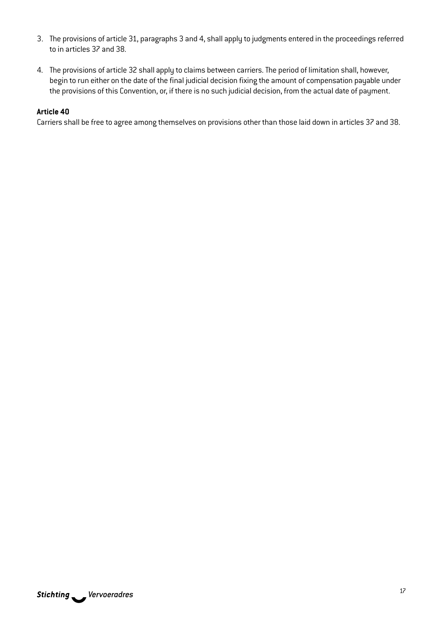- 3. The provisions of article 31, paragraphs 3 and 4, shall apply to judgments entered in the proceedings referred to in articles 37 and 38.
- 4. The provisions of article 32 shall apply to claims between carriers. The period of limitation shall, however, begin to run either on the date of the final judicial decision fixing the amount of compensation payable under the provisions of this Convention, or, if there is no such judicial decision, from the actual date of payment.

Carriers shall be free to agree among themselves on provisions other than those laid down in articles 37 and 38.

![](_page_18_Picture_4.jpeg)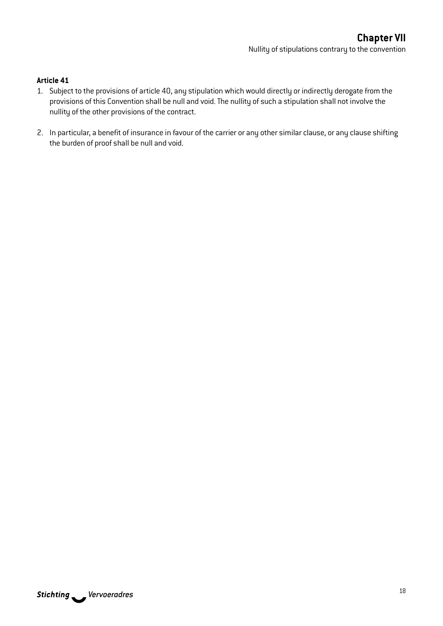- <span id="page-19-0"></span>1. Subject to the provisions of article 40, any stipulation which would directly or indirectly derogate from the provisions of this Convention shall be null and void. The nullity of such a stipulation shall not involve the nullity of the other provisions of the contract.
- 2. In particular, a benefit of insurance in favour of the carrier or any other similar clause, or any clause shifting the burden of proof shall be null and void.

![](_page_19_Picture_4.jpeg)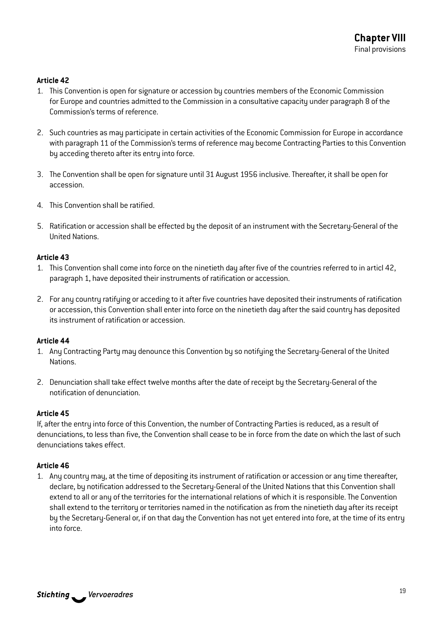- <span id="page-20-0"></span>1. This Convention is open for signature or accession by countries members of the Economic Commission for Europe and countries admitted to the Commission in a consultative capacity under paragraph 8 of the Commission's terms of reference.
- 2. Such countries as may participate in certain activities of the Economic Commission for Europe in accordance with paragraph 11 of the Commission's terms of reference may become Contracting Parties to this Convention by acceding thereto after its entry into force.
- 3. The Convention shall be open for signature until 31 August 1956 inclusive. Thereafter, it shall be open for accession.
- 4. This Convention shall be ratified.
- 5. Ratification or accession shall be effected by the deposit of an instrument with the Secretary-General of the United Nations.

#### **Article 43**

- 1. This Convention shall come into force on the ninetieth day after five of the countries referred to in articl 42, paragraph 1, have deposited their instruments of ratification or accession.
- 2. For any country ratifying or acceding to it after five countries have deposited their instruments of ratification or accession, this Convention shall enter into force on the ninetieth day after the said country has deposited its instrument of ratification or accession.

#### **Article 44**

- 1. Any Contracting Party may denounce this Convention by so notifying the Secretary-General of the United Nations.
- 2. Denunciation shall take effect twelve months after the date of receipt by the Secretary-General of the notification of denunciation.

#### **Article 45**

If, after the entry into force of this Convention, the number of Contracting Parties is reduced, as a result of denunciations, to less than five, the Convention shall cease to be in force from the date on which the last of such denunciations takes effect.

#### **Article 46**

1. Any country may, at the time of depositing its instrument of ratification or accession or any time thereafter, declare, by notification addressed to the Secretary-General of the United Nations that this Convention shall extend to all or any of the territories for the international relations of which it is responsible. The Convention shall extend to the territory or territories named in the notification as from the ninetieth day after its receipt by the Secretary-General or, if on that day the Convention has not yet entered into fore, at the time of its entry into force.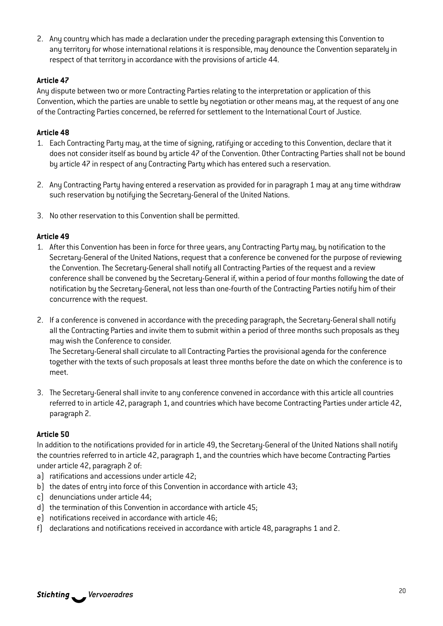2. Any country which has made a declaration under the preceding paragraph extensing this Convention to any territory for whose international relations it is responsible, may denounce the Convention separately in respect of that territory in accordance with the provisions of article 44.

#### **Article 47**

Any dispute between two or more Contracting Parties relating to the interpretation or application of this Convention, which the parties are unable to settle by negotiation or other means may, at the request of any one of the Contracting Parties concerned, be referred for settlement to the International Court of Justice.

#### **Article 48**

- 1. Each Contracting Party may, at the time of signing, ratifying or acceding to this Convention, declare that it does not consider itself as bound by article 47 of the Convention. Other Contracting Parties shall not be bound by article 47 in respect of any Contracting Party which has entered such a reservation.
- 2. Any Contracting Party having entered a reservation as provided for in paragraph 1 may at any time withdraw such reservation by notifying the Secretary-General of the United Nations.
- 3. No other reservation to this Convention shall be permitted.

#### **Article 49**

- 1. After this Convention has been in force for three years, any Contracting Party may, by notification to the Secretary-General of the United Nations, request that a conference be convened for the purpose of reviewing the Convention. The Secretary-General shall notify all Contracting Parties of the request and a review conference shall be convened by the Secretary-General if, within a period of four months following the date of notification by the Secretary-General, not less than one-fourth of the Contracting Parties notify him of their concurrence with the request.
- 2. If a conference is convened in accordance with the preceding paragraph, the Secretary-General shall notify all the Contracting Parties and invite them to submit within a period of three months such proposals as they may wish the Conference to consider.

The Secretary-General shall circulate to all Contracting Parties the provisional agenda for the conference together with the texts of such proposals at least three months before the date on which the conference is to meet.

3. The Secretary-General shall invite to any conference convened in accordance with this article all countries referred to in article 42, paragraph 1, and countries which have become Contracting Parties under article 42, paragraph 2.

#### **Article 50**

In addition to the notifications provided for in article 49, the Secretary-General of the United Nations shall notify the countries referred to in article 42, paragraph 1, and the countries which have become Contracting Parties under article 42, paragraph 2 of:

- a) ratifications and accessions under article 42;
- b) the dates of entry into force of this Convention in accordance with article 43;
- c) denunciations under article 44;
- d) the termination of this Convention in accordance with article 45;
- e) notifications received in accordance with article 46;
- f) declarations and notifications received in accordance with article 48, paragraphs 1 and 2.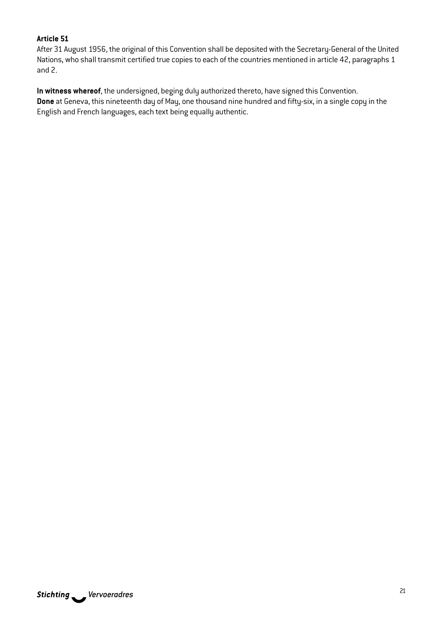After 31 August 1956, the original of this Convention shall be deposited with the Secretary-General of the United Nations, who shall transmit certified true copies to each of the countries mentioned in article 42, paragraphs 1 and 2.

**In witness whereof**, the undersigned, beging duly authorized thereto, have signed this Convention. **Done** at Geneva, this nineteenth day of May, one thousand nine hundred and fifty-six, in a single copy in the English and French languages, each text being equally authentic.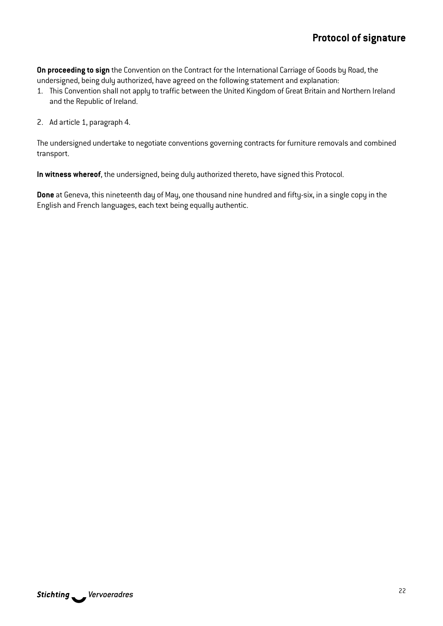**On proceeding to sign** the Convention on the Contract for the International Carriage of Goods by Road, the undersigned, being duly authorized, have agreed on the following statement and explanation:

- 1. This Convention shall not apply to traffic between the United Kingdom of Great Britain and Northern Ireland and the Republic of Ireland.
- 2. Ad article 1, paragraph 4.

The undersigned undertake to negotiate conventions governing contracts for furniture removals and combined transport.

**In witness whereof**, the undersigned, being duly authorized thereto, have signed this Protocol.

**Done** at Geneva, this nineteenth day of May, one thousand nine hundred and fifty-six, in a single copy in the English and French languages, each text being equally authentic.

![](_page_23_Picture_7.jpeg)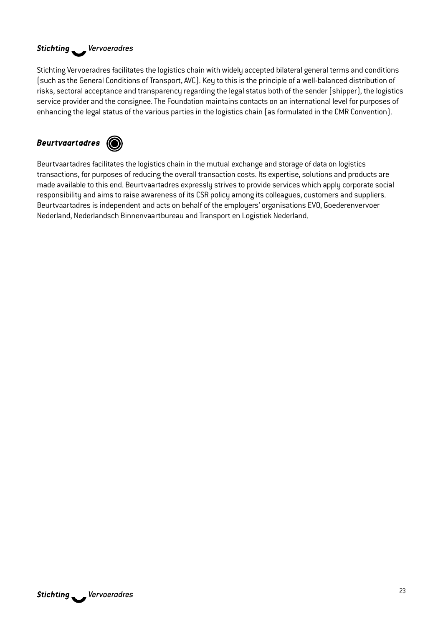### *Vervoeradres*

Stichting Vervoeradres facilitates the logistics chain with widely accepted bilateral general terms and conditions (such as the General Conditions of Transport, AVC). Key to this is the principle of a well-balanced distribution of risks, sectoral acceptance and transparency regarding the legal status both of the sender (shipper), the logistics service provider and the consignee. The Foundation maintains contacts on an international level for purposes of enhancing the legal status of the various parties in the logistics chain (as formulated in the CMR Convention).

#### Beurtvaartadres (O)

![](_page_24_Picture_3.jpeg)

Beurtvaartadres facilitates the logistics chain in the mutual exchange and storage of data on logistics transactions, for purposes of reducing the overall transaction costs. Its expertise, solutions and products are made available to this end. Beurtvaartadres expressly strives to provide services which apply corporate social responsibility and aims to raise awareness of its CSR policy among its colleagues, customers and suppliers. Beurtvaartadres is independent and acts on behalf of the employers' organisations EVO, Goederenvervoer Nederland, Nederlandsch Binnenvaartbureau and Transport en Logistiek Nederland.

![](_page_24_Picture_5.jpeg)